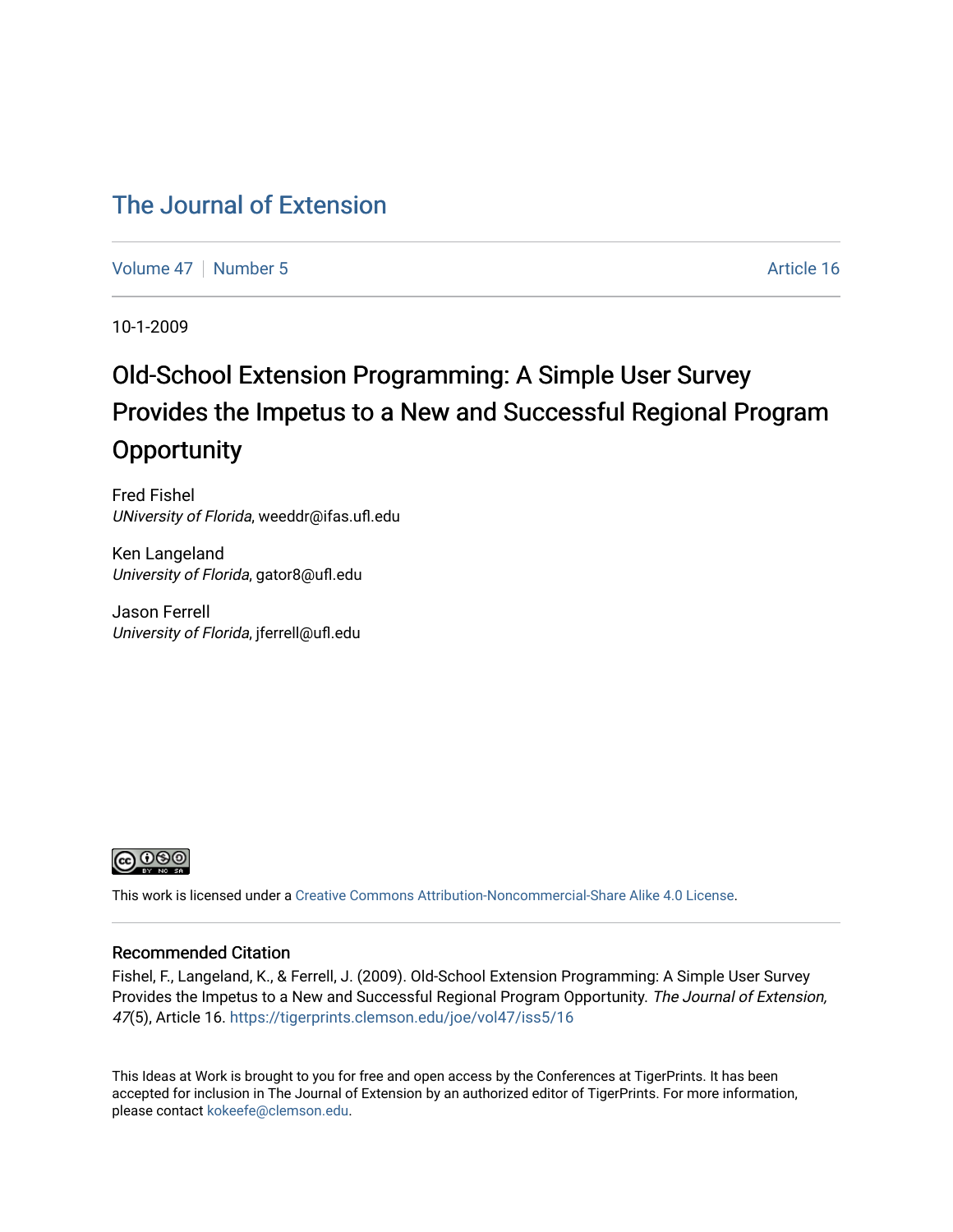### [The Journal of Extension](https://tigerprints.clemson.edu/joe)

[Volume 47](https://tigerprints.clemson.edu/joe/vol47) | [Number 5](https://tigerprints.clemson.edu/joe/vol47/iss5) Article 16

10-1-2009

# Old-School Extension Programming: A Simple User Survey Provides the Impetus to a New and Successful Regional Program **Opportunity**

Fred Fishel UNiversity of Florida, weeddr@ifas.ufl.edu

Ken Langeland University of Florida, gator8@ufl.edu

Jason Ferrell University of Florida, jferrell@ufl.edu



This work is licensed under a [Creative Commons Attribution-Noncommercial-Share Alike 4.0 License.](https://creativecommons.org/licenses/by-nc-sa/4.0/)

#### Recommended Citation

Fishel, F., Langeland, K., & Ferrell, J. (2009). Old-School Extension Programming: A Simple User Survey Provides the Impetus to a New and Successful Regional Program Opportunity. The Journal of Extension, 47(5), Article 16. <https://tigerprints.clemson.edu/joe/vol47/iss5/16>

This Ideas at Work is brought to you for free and open access by the Conferences at TigerPrints. It has been accepted for inclusion in The Journal of Extension by an authorized editor of TigerPrints. For more information, please contact [kokeefe@clemson.edu](mailto:kokeefe@clemson.edu).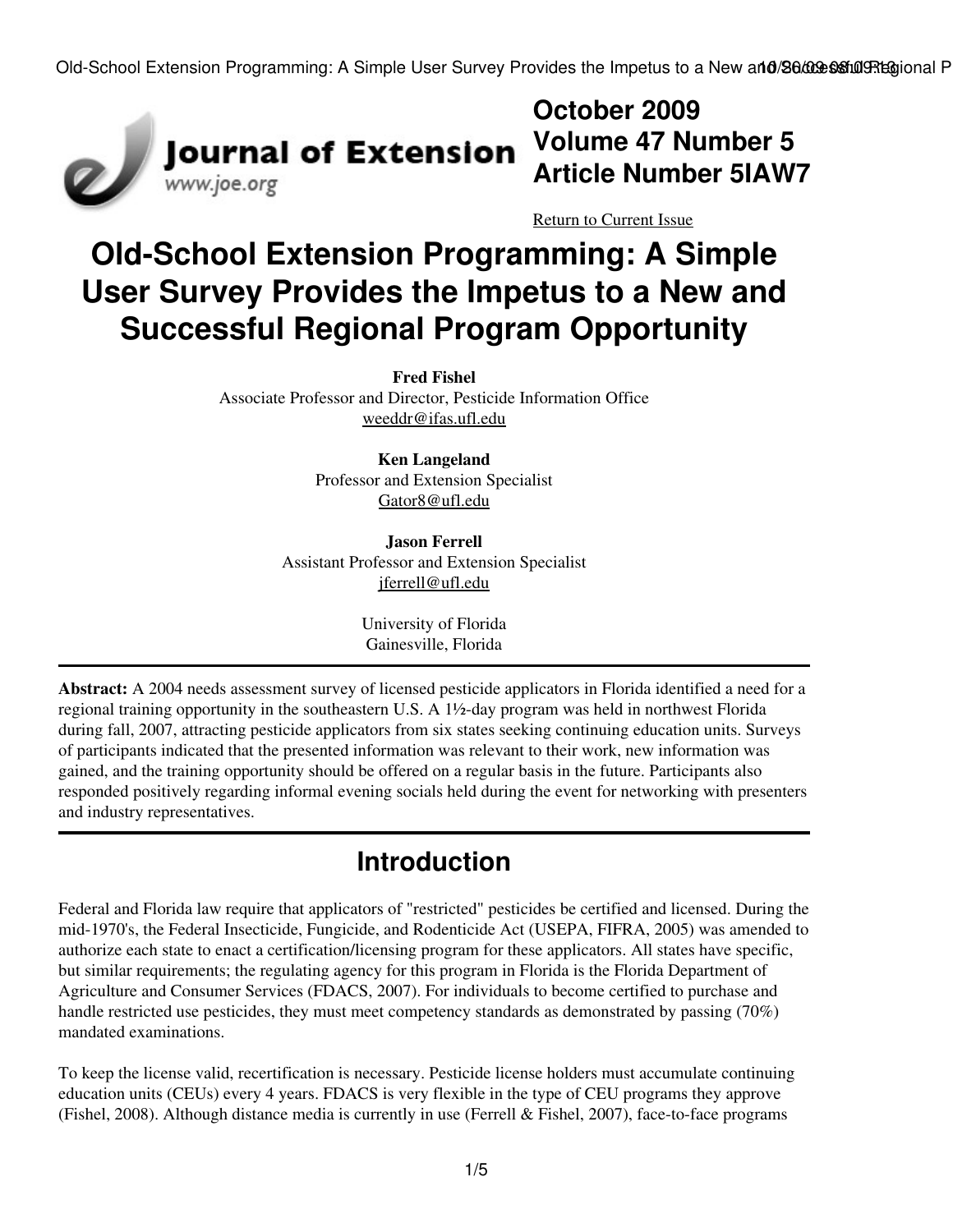

**October 2009 Volume 47 Number 5 Article Number 5IAW7**

[Return to Current Issue](http://www.joe.org:80/joe/2009october/)

# **Old-School Extension Programming: A Simple User Survey Provides the Impetus to a New and Successful Regional Program Opportunity**

**Fred Fishel**

Associate Professor and Director, Pesticide Information Office [weeddr@ifas.ufl.edu](mailto:weeddr@ifas.ufl.edu)

> **Ken Langeland** Professor and Extension Specialist [Gator8@ufl.edu](mailto:Gator8@ufl.edu)

**Jason Ferrell** Assistant Professor and Extension Specialist [jferrell@ufl.edu](mailto:jferrell@ufl.edu)

> University of Florida Gainesville, Florida

**Abstract:** A 2004 needs assessment survey of licensed pesticide applicators in Florida identified a need for a regional training opportunity in the southeastern U.S. A 1½-day program was held in northwest Florida during fall, 2007, attracting pesticide applicators from six states seeking continuing education units. Surveys of participants indicated that the presented information was relevant to their work, new information was gained, and the training opportunity should be offered on a regular basis in the future. Participants also responded positively regarding informal evening socials held during the event for networking with presenters and industry representatives.

# **Introduction**

Federal and Florida law require that applicators of "restricted" pesticides be certified and licensed. During the mid-1970's, the Federal Insecticide, Fungicide, and Rodenticide Act (USEPA, FIFRA, 2005) was amended to authorize each state to enact a certification/licensing program for these applicators. All states have specific, but similar requirements; the regulating agency for this program in Florida is the Florida Department of Agriculture and Consumer Services (FDACS, 2007). For individuals to become certified to purchase and handle restricted use pesticides, they must meet competency standards as demonstrated by passing (70%) mandated examinations.

To keep the license valid, recertification is necessary. Pesticide license holders must accumulate continuing education units (CEUs) every 4 years. FDACS is very flexible in the type of CEU programs they approve (Fishel, 2008). Although distance media is currently in use (Ferrell & Fishel, 2007), face-to-face programs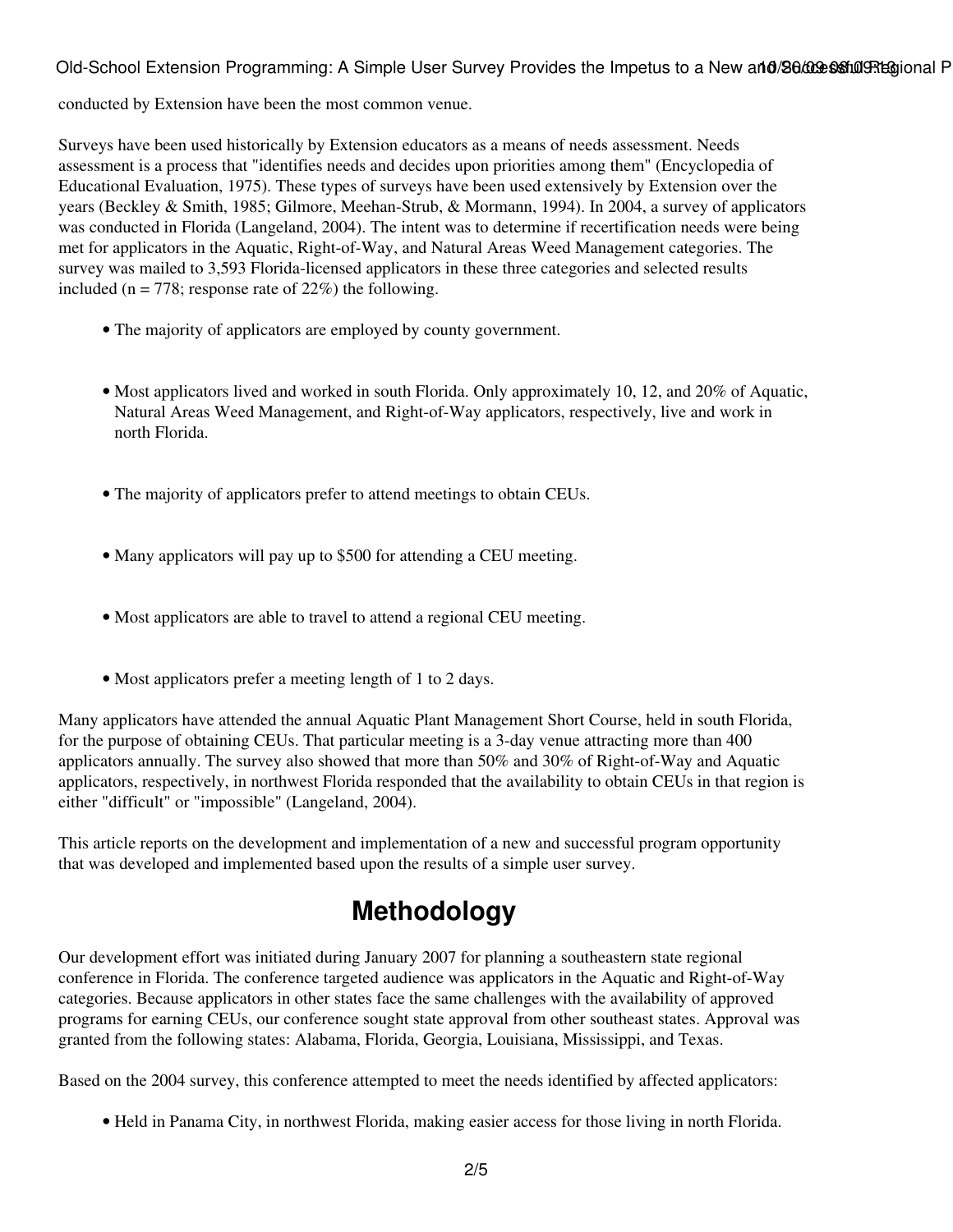conducted by Extension have been the most common venue.

Surveys have been used historically by Extension educators as a means of needs assessment. Needs assessment is a process that "identifies needs and decides upon priorities among them" (Encyclopedia of Educational Evaluation, 1975). These types of surveys have been used extensively by Extension over the years (Beckley & Smith, 1985; Gilmore, Meehan-Strub, & Mormann, 1994). In 2004, a survey of applicators was conducted in Florida (Langeland, 2004). The intent was to determine if recertification needs were being met for applicators in the Aquatic, Right-of-Way, and Natural Areas Weed Management categories. The survey was mailed to 3,593 Florida-licensed applicators in these three categories and selected results included (n = 778; response rate of  $22\%$ ) the following.

- The majority of applicators are employed by county government.
- Most applicators lived and worked in south Florida. Only approximately 10, 12, and 20% of Aquatic, Natural Areas Weed Management, and Right-of-Way applicators, respectively, live and work in north Florida.
- The majority of applicators prefer to attend meetings to obtain CEUs.
- Many applicators will pay up to \$500 for attending a CEU meeting.
- Most applicators are able to travel to attend a regional CEU meeting.
- Most applicators prefer a meeting length of 1 to 2 days.

Many applicators have attended the annual Aquatic Plant Management Short Course, held in south Florida, for the purpose of obtaining CEUs. That particular meeting is a 3-day venue attracting more than 400 applicators annually. The survey also showed that more than 50% and 30% of Right-of-Way and Aquatic applicators, respectively, in northwest Florida responded that the availability to obtain CEUs in that region is either "difficult" or "impossible" (Langeland, 2004).

This article reports on the development and implementation of a new and successful program opportunity that was developed and implemented based upon the results of a simple user survey.

# **Methodology**

Our development effort was initiated during January 2007 for planning a southeastern state regional conference in Florida. The conference targeted audience was applicators in the Aquatic and Right-of-Way categories. Because applicators in other states face the same challenges with the availability of approved programs for earning CEUs, our conference sought state approval from other southeast states. Approval was granted from the following states: Alabama, Florida, Georgia, Louisiana, Mississippi, and Texas.

Based on the 2004 survey, this conference attempted to meet the needs identified by affected applicators:

• Held in Panama City, in northwest Florida, making easier access for those living in north Florida.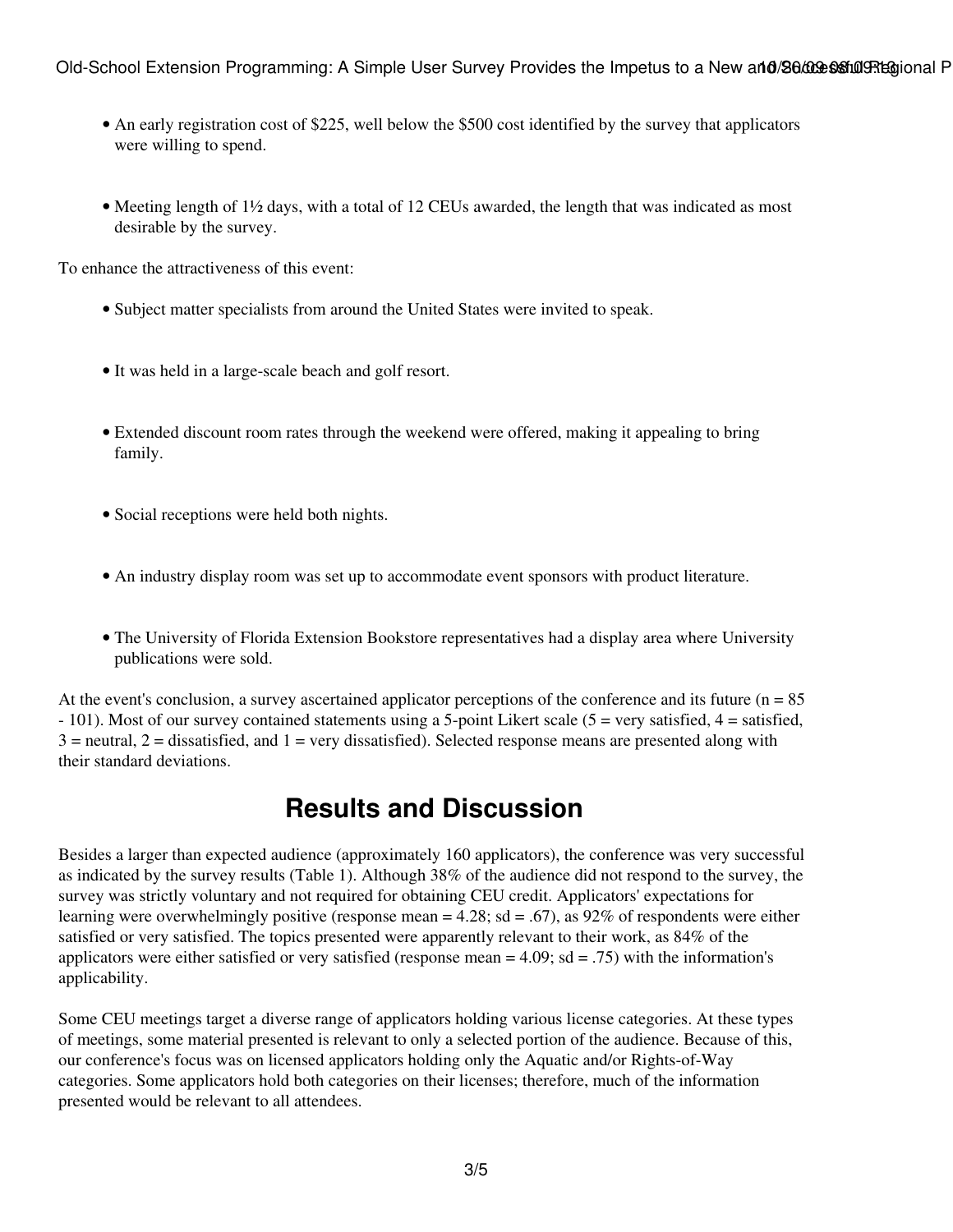- An early registration cost of \$225, well below the \$500 cost identified by the survey that applicators were willing to spend.
- Meeting length of 1½ days, with a total of 12 CEUs awarded, the length that was indicated as most desirable by the survey.

To enhance the attractiveness of this event:

- Subject matter specialists from around the United States were invited to speak.
- It was held in a large-scale beach and golf resort.
- Extended discount room rates through the weekend were offered, making it appealing to bring family.
- Social receptions were held both nights.
- An industry display room was set up to accommodate event sponsors with product literature.
- The University of Florida Extension Bookstore representatives had a display area where University publications were sold.

At the event's conclusion, a survey ascertained applicator perceptions of the conference and its future ( $n = 85$ )  $-101$ ). Most of our survey contained statements using a 5-point Likert scale (5 = very satisfied, 4 = satisfied,  $3$  = neutral,  $2$  = dissatisfied, and  $1$  = very dissatisfied). Selected response means are presented along with their standard deviations.

### **Results and Discussion**

Besides a larger than expected audience (approximately 160 applicators), the conference was very successful as indicated by the survey results (Table 1). Although 38% of the audience did not respond to the survey, the survey was strictly voluntary and not required for obtaining CEU credit. Applicators' expectations for learning were overwhelmingly positive (response mean  $= 4.28$ ; sd = .67), as 92% of respondents were either satisfied or very satisfied. The topics presented were apparently relevant to their work, as 84% of the applicators were either satisfied or very satisfied (response mean  $= 4.09$ ; sd  $= .75$ ) with the information's applicability.

Some CEU meetings target a diverse range of applicators holding various license categories. At these types of meetings, some material presented is relevant to only a selected portion of the audience. Because of this, our conference's focus was on licensed applicators holding only the Aquatic and/or Rights-of-Way categories. Some applicators hold both categories on their licenses; therefore, much of the information presented would be relevant to all attendees.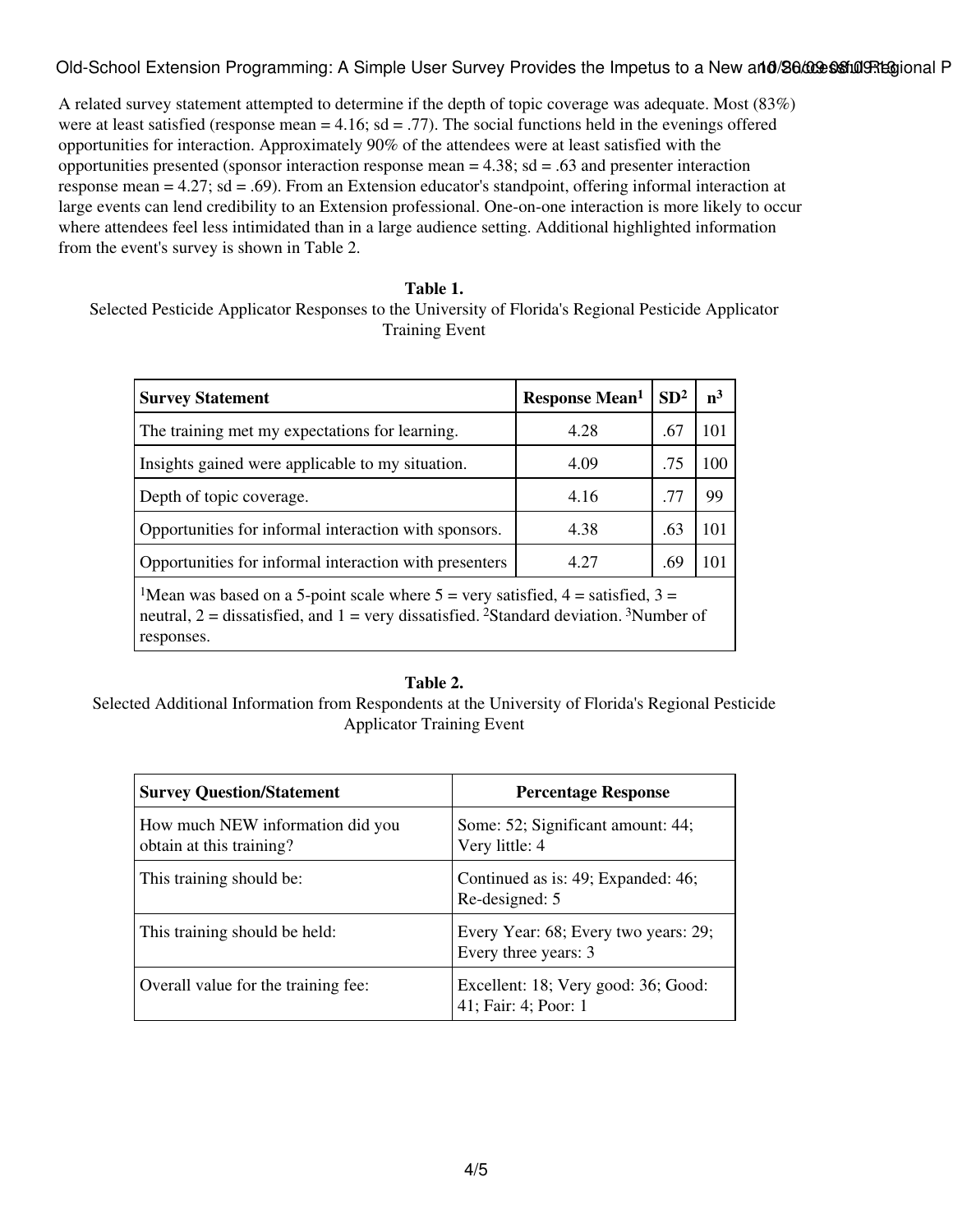A related survey statement attempted to determine if the depth of topic coverage was adequate. Most (83%) were at least satisfied (response mean  $= 4.16$ ; sd  $= .77$ ). The social functions held in the evenings offered opportunities for interaction. Approximately 90% of the attendees were at least satisfied with the opportunities presented (sponsor interaction response mean  $= 4.38$ ; sd = .63 and presenter interaction response mean = 4.27; sd = .69). From an Extension educator's standpoint, offering informal interaction at large events can lend credibility to an Extension professional. One-on-one interaction is more likely to occur where attendees feel less intimidated than in a large audience setting. Additional highlighted information from the event's survey is shown in Table 2.

#### **Table 1.**

Selected Pesticide Applicator Responses to the University of Florida's Regional Pesticide Applicator Training Event

| <b>Survey Statement</b>                                                                                                                                                                                                              | <b>Response Mean</b> <sup>1</sup> | SD <sup>2</sup> | $n^3$ |  |
|--------------------------------------------------------------------------------------------------------------------------------------------------------------------------------------------------------------------------------------|-----------------------------------|-----------------|-------|--|
| The training met my expectations for learning.                                                                                                                                                                                       | 4.28                              | .67             | 101   |  |
| Insights gained were applicable to my situation.                                                                                                                                                                                     | 4.09                              | .75             | 100   |  |
| Depth of topic coverage.                                                                                                                                                                                                             | 4.16                              | .77             | 99    |  |
| Opportunities for informal interaction with sponsors.                                                                                                                                                                                | 4.38                              | .63             | 101   |  |
| Opportunities for informal interaction with presenters                                                                                                                                                                               | 4.27                              | .69             | 101   |  |
| <sup>1</sup> Mean was based on a 5-point scale where $5 =$ very satisfied, $4 =$ satisfied, $3 =$<br>neutral, $2 =$ dissatisfied, and $1 =$ very dissatisfied. <sup>2</sup> Standard deviation. <sup>3</sup> Number of<br>responses. |                                   |                 |       |  |

#### **Table 2.**

Selected Additional Information from Respondents at the University of Florida's Regional Pesticide Applicator Training Event

| <b>Survey Question/Statement</b>                             | <b>Percentage Response</b>                                   |
|--------------------------------------------------------------|--------------------------------------------------------------|
| How much NEW information did you<br>obtain at this training? | Some: 52; Significant amount: 44;<br>Very little: 4          |
| This training should be:                                     | Continued as is: 49; Expanded: 46;<br>Re-designed: 5         |
| This training should be held:                                | Every Year: 68; Every two years: 29;<br>Every three years: 3 |
| Overall value for the training fee:                          | Excellent: 18; Very good: 36; Good:<br>41; Fair: 4; Poor: 1  |